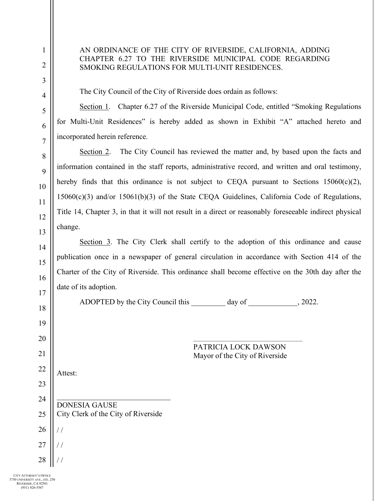# AN ORDINANCE OF THE CITY OF RIVERSIDE, CALIFORNIA, ADDING CHAPTER 6.27 TO THE RIVERSIDE MUNICIPAL CODE REGARDING SMOKING REGULATIONS FOR MULTI-UNIT RESIDENCES.

The City Council of the City of Riverside does ordain as follows:

Section 1. Chapter 6.27 of the Riverside Municipal Code, entitled "Smoking Regulations for Multi-Unit Residences" is hereby added as shown in Exhibit "A" attached hereto and incorporated herein reference.

Section 2. The City Council has reviewed the matter and, by based upon the facts and information contained in the staff reports, administrative record, and written and oral testimony, hereby finds that this ordinance is not subject to CEQA pursuant to Sections  $15060(c)(2)$ , 15060(c)(3) and/or 15061(b)(3) of the State CEQA Guidelines, California Code of Regulations, Title 14, Chapter 3, in that it will not result in a direct or reasonably foreseeable indirect physical change.

Section 3. The City Clerk shall certify to the adoption of this ordinance and cause publication once in a newspaper of general circulation in accordance with Section 414 of the Charter of the City of Riverside. This ordinance shall become effective on the 30th day after the date of its adoption.

ADOPTED by the City Council this day of  $\qquad \qquad$ , 2022.

\_\_\_\_\_\_\_\_\_\_\_\_\_\_\_\_\_\_\_\_\_\_\_\_\_\_\_\_\_\_\_\_ PATRICIA LOCK DAWSON Mayor of the City of Riverside

Attest:

\_\_\_\_\_\_\_\_\_\_\_\_\_\_\_\_\_\_\_\_\_\_\_\_\_\_\_\_\_\_ DONESIA GAUSE City Clerk of the City of Riverside / /

27 / /

/ /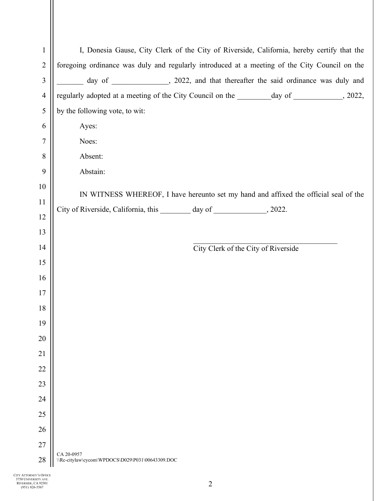| $\mathbf{1}$   |                                                                                      | I, Donesia Gause, City Clerk of the City of Riverside, California, hereby certify that the     |
|----------------|--------------------------------------------------------------------------------------|------------------------------------------------------------------------------------------------|
| $\overline{2}$ |                                                                                      | foregoing ordinance was duly and regularly introduced at a meeting of the City Council on the  |
| 3              |                                                                                      | day of ____________, 2022, and that thereafter the said ordinance was duly and                 |
| $\overline{4}$ |                                                                                      | regularly adopted at a meeting of the City Council on the _________ day of ____________, 2022, |
| 5              | by the following vote, to wit:                                                       |                                                                                                |
| 6              | Ayes:                                                                                |                                                                                                |
| 7              | Noes:                                                                                |                                                                                                |
| 8              | Absent:                                                                              |                                                                                                |
| 9              | Abstain:                                                                             |                                                                                                |
| 10             | IN WITNESS WHEREOF, I have hereunto set my hand and affixed the official seal of the |                                                                                                |
| 11             |                                                                                      |                                                                                                |
| 12             | City of Riverside, California, this ________ day of ______________, 2022.            |                                                                                                |
| 13             |                                                                                      |                                                                                                |
| 14             |                                                                                      | City Clerk of the City of Riverside                                                            |
| 15             |                                                                                      |                                                                                                |
| 16             |                                                                                      |                                                                                                |
| 17             |                                                                                      |                                                                                                |
| 18             |                                                                                      |                                                                                                |
| 19             |                                                                                      |                                                                                                |
| 20             |                                                                                      |                                                                                                |
| 21             |                                                                                      |                                                                                                |
| 22             |                                                                                      |                                                                                                |
| 23             |                                                                                      |                                                                                                |
| 24             |                                                                                      |                                                                                                |
| 25             |                                                                                      |                                                                                                |
| 26             |                                                                                      |                                                                                                |
| 27<br>28       | CA 20-0957                                                                           |                                                                                                |
|                | \\Rc-citylaw\cycom\WPDOCS\D029\P031\00643309.DOC                                     |                                                                                                |

CITY ATTORNEY'S OFFICE 3750 UNIVERSITY AVE. RIVERSIDE, CA 92501 (951) 826-5567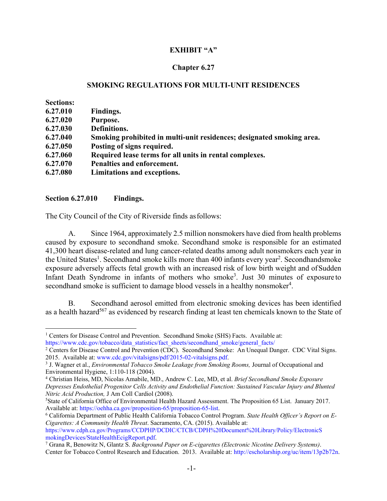### **EXHIBIT "A"**

#### **Chapter 6.27**

#### **SMOKING REGULATIONS FOR MULTI-UNIT RESIDENCES**

| <b>Sections:</b> |                                                                       |
|------------------|-----------------------------------------------------------------------|
| 6.27.010         | Findings.                                                             |
| 6.27.020         | Purpose.                                                              |
| 6.27.030         | Definitions.                                                          |
| 6.27.040         | Smoking prohibited in multi-unit residences; designated smoking area. |
| 6.27.050         | Posting of signs required.                                            |
| 6.27.060         | Required lease terms for all units in rental complexes.               |
| 6.27.070         | Penalties and enforcement.                                            |
| 6.27.080         | Limitations and exceptions.                                           |

#### **Section 6.27.010 Findings.**

The City Council of the City of Riverside finds as follows:

A. Since 1964, approximately 2.5 million nonsmokers have died from health problems caused by exposure to secondhand smoke. Secondhand smoke is responsible for an estimated 41,300 heart disease-related and lung cancer-related deaths among adult nonsmokers each year in the United States<sup>1</sup>. Secondhand smoke kills more than 400 infants every year<sup>2</sup>. Secondhandsmoke exposure adversely affects fetal growth with an increased risk of low birth weight and of Sudden Infant Death Syndrome in infants of mothers who smoke<sup>3</sup>. Just 30 minutes of exposure to secondhand smoke is sufficient to damage blood vessels in a healthy nonsmoker<sup>4</sup>.

B. Secondhand aerosol emitted from electronic smoking devices has been identified as a health hazard<sup>567</sup> as evidenced by research finding at least ten chemicals known to the State of

 California Department of Public Health California Tobacco Control Program. *State Health Officer's Report on E-Cigarettes: A Community Health Threat*. Sacramento, CA. (2015). Available at:

https://www.cdph.ca.gov/Programs/CCDPHP/DCDIC/CTCB/CDPH%20Document%20Library/Policy/ElectronicS mokingDevices/StateHealthEcigReport.pdf. 7

<sup>&</sup>lt;sup>1</sup> Centers for Disease Control and Prevention. Secondhand Smoke (SHS) Facts. Available at: https://www.cdc.gov/tobacco/data\_statistics/fact\_sheets/secondhand\_smoke/general\_facts/

<sup>&</sup>lt;sup>2</sup> Centers for Disease Control and Prevention (CDC). Secondhand Smoke: An Unequal Danger. CDC Vital Signs. 2015. Available at: www.cdc.gov/vitalsigns/pdf/2015-02-vitalsigns.pdf.

<sup>&</sup>lt;sup>3</sup> J. Wagner et al., *Environmental Tobacco Smoke Leakage from Smoking Rooms*, Journal of Occupational and Environmental Hygiene, 1:110-118 (2004).

<sup>4</sup> Christian Heiss, MD, Nicolas Amabile, MD., Andrew C. Lee, MD, et al. *Brief Secondhand Smoke Exposure Depresses Endothelial Progenitor Cells Activity and Endothelial Function: Sustained Vascular Injury and Blunted Nitric Acid Production,* J Am Coll Cardiol (2008). 5

State of California Office of Environmental Health Hazard Assessment. The Proposition 65 List. January 2017. Available at: https://oehha.ca.gov/proposition-65/proposition-65-list. 6

Grana R, Benowitz N, Glantz S. *Background Paper on E-cigarettes (Electronic Nicotine Delivery Systems)*. Center for Tobacco Control Research and Education. 2013. Available at: http://escholarship.org/uc/item/13p2b72n.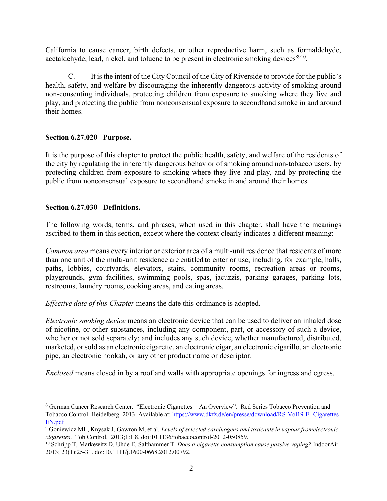California to cause cancer, birth defects, or other reproductive harm, such as formaldehyde, acetaldehyde, lead, nickel, and toluene to be present in electronic smoking devices<sup>8910</sup>.

C. It is the intent of the City Council of the City of Riverside to provide for the public's health, safety, and welfare by discouraging the inherently dangerous activity of smoking around non-consenting individuals, protecting children from exposure to smoking where they live and play, and protecting the public from nonconsensual exposure to secondhand smoke in and around their homes.

### **Section 6.27.020 Purpose.**

It is the purpose of this chapter to protect the public health, safety, and welfare of the residents of the city by regulating the inherently dangerous behavior of smoking around non-tobacco users, by protecting children from exposure to smoking where they live and play, and by protecting the public from nonconsensual exposure to secondhand smoke in and around their homes.

### **Section 6.27.030 Definitions.**

The following words, terms, and phrases, when used in this chapter, shall have the meanings ascribed to them in this section, except where the context clearly indicates a different meaning:

*Common area* means every interior or exterior area of a multi-unit residence that residents of more than one unit of the multi-unit residence are entitled to enter or use, including, for example, halls, paths, lobbies, courtyards, elevators, stairs, community rooms, recreation areas or rooms, playgrounds, gym facilities, swimming pools, spas, jacuzzis, parking garages, parking lots, restrooms, laundry rooms, cooking areas, and eating areas.

*Effective date of this Chapter* means the date this ordinance is adopted.

*Electronic smoking device* means an electronic device that can be used to deliver an inhaled dose of nicotine, or other substances, including any component, part, or accessory of such a device, whether or not sold separately; and includes any such device, whether manufactured, distributed, marketed, or sold as an electronic cigarette, an electronic cigar, an electronic cigarillo, an electronic pipe, an electronic hookah, or any other product name or descriptor.

*Enclosed* means closed in by a roof and walls with appropriate openings for ingress and egress.

<sup>8</sup> German Cancer Research Center. "Electronic Cigarettes – An Overview". Red Series Tobacco Prevention and Tobacco Control. Heidelberg. 2013. Available at: https://www.dkfz.de/en/presse/download/RS-Vol19-E- Cigarettes-EN.pdf

<sup>9</sup> Goniewicz ML, Knysak J, Gawron M, et al. *Levels of selected carcinogens and toxicants in vapour from electronic cigarettes*. Tob Control. 2013;1:1 8. doi:10.1136/tobaccocontrol-2012-050859.

<sup>10</sup> Schripp T, Markewitz D, Uhde E, Salthammer T. *Does e-cigarette consumption cause passive vaping?* Indoor Air. 2013; 23(1):25-31. doi:10.1111/j.1600-0668.2012.00792.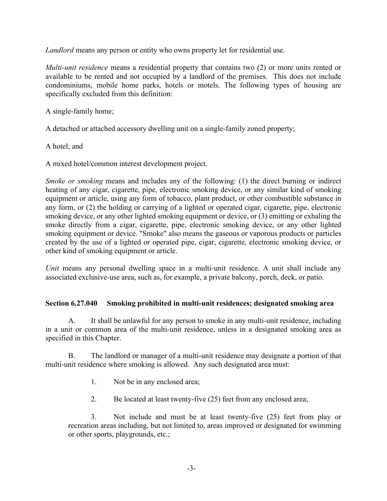*Landlord* means any person or entity who owns property let for residential use.

*Multi-unit residence* means a residential property that contains two (2) or more units rented or available to be rented and not occupied by a landlord of the premises. This does not include condominiums, mobile home parks, hotels or motels. The following types of housing are specifically excluded from this definition:

A single-family home;

A detached or attached accessory dwelling unit on a single-family zoned property;

A hotel; and

A mixed hotel/common interest development project.

*Smoke or smoking* means and includes any of the following: (1) the direct burning or indirect heating of any cigar, cigarette, pipe, electronic smoking device, or any similar kind of smoking equipment or article, using any form of tobacco, plant product, or other combustible substance in any form, or (2) the holding or carrying of a lighted or operated cigar, cigarette, pipe, electronic smoking device, or any other lighted smoking equipment or device, or (3) emitting or exhaling the smoke directly from a cigar, cigarette, pipe, electronic smoking device, or any other lighted smoking equipment or device. "Smoke" also means the gaseous or vaporous products or particles created by the use of a lighted or operated pipe, cigar, cigarette, electronic smoking device, or other kind of smoking equipment or article.

*Unit* means any personal dwelling space in a multi-unit residence. A unit shall include any associated exclusive-use area, such as, for example, a private balcony, porch, deck, or patio.

#### **Section 6.27.040 Smoking prohibited in multi-unit residences; designated smoking area**

A. It shall be unlawful for any person to smoke in any multi-unit residence, including in a unit or common area of the multi-unit residence, unless in a designated smoking area as specified in this Chapter.

B. The landlord or manager of a multi-unit residence may designate a portion of that multi-unit residence where smoking is allowed. Any such designated area must:

- 1. Not be in any enclosed area;
- 2. Be located at least twenty-five (25) feet from any enclosed area;

3. Not include and must be at least twenty-five (25) feet from play or recreation areas including, but not limited to, areas improved or designated for swimming or other sports, playgrounds, etc.;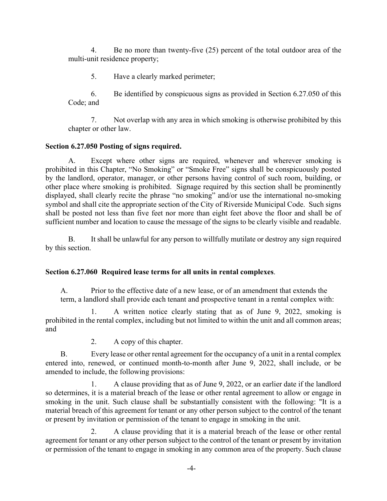4. Be no more than twenty-five (25) percent of the total outdoor area of the multi-unit residence property;

5. Have a clearly marked perimeter;

6. Be identified by conspicuous signs as provided in Section 6.27.050 of this Code; and

7. Not overlap with any area in which smoking is otherwise prohibited by this chapter or other law.

## **Section 6.27.050 Posting of signs required.**

A. Except where other signs are required, whenever and wherever smoking is prohibited in this Chapter, "No Smoking" or "Smoke Free" signs shall be conspicuously posted by the landlord, operator, manager, or other persons having control of such room, building, or other place where smoking is prohibited. Signage required by this section shall be prominently displayed, shall clearly recite the phrase "no smoking" and/or use the international no-smoking symbol and shall cite the appropriate section of the City of Riverside Municipal Code. Such signs shall be posted not less than five feet nor more than eight feet above the floor and shall be of sufficient number and location to cause the message of the signs to be clearly visible and readable.

B. It shall be unlawful for any person to willfully mutilate or destroy any sign required by this section.

## **Section 6.27.060 Required lease terms for all units in rental complexes**.

A. Prior to the effective date of a new lease, or of an amendment that extends the term, a landlord shall provide each tenant and prospective tenant in a rental complex with:

1. A written notice clearly stating that as of June 9, 2022, smoking is prohibited in the rental complex, including but not limited to within the unit and all common areas; and

2. A copy of this chapter.

B. Every lease or other rental agreement for the occupancy of a unit in a rental complex entered into, renewed, or continued month-to-month after June 9, 2022, shall include, or be amended to include, the following provisions:

1. A clause providing that as of June 9, 2022, or an earlier date if the landlord so determines, it is a material breach of the lease or other rental agreement to allow or engage in smoking in the unit. Such clause shall be substantially consistent with the following: "It is a material breach of this agreement for tenant or any other person subject to the control of the tenant or present by invitation or permission of the tenant to engage in smoking in the unit.

2. A clause providing that it is a material breach of the lease or other rental agreement for tenant or any other person subject to the control of the tenant or present by invitation or permission of the tenant to engage in smoking in any common area of the property. Such clause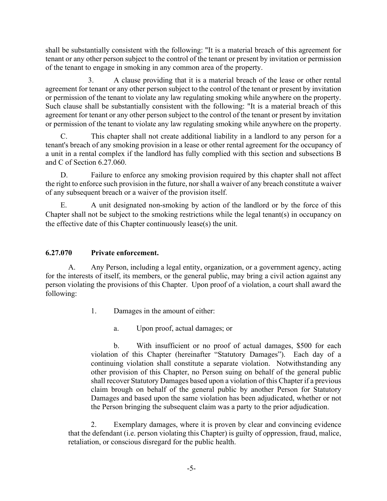shall be substantially consistent with the following: "It is a material breach of this agreement for tenant or any other person subject to the control of the tenant or present by invitation or permission of the tenant to engage in smoking in any common area of the property.

3. A clause providing that it is a material breach of the lease or other rental agreement for tenant or any other person subject to the control of the tenant or present by invitation or permission of the tenant to violate any law regulating smoking while anywhere on the property. Such clause shall be substantially consistent with the following: "It is a material breach of this agreement for tenant or any other person subject to the control of the tenant or present by invitation or permission of the tenant to violate any law regulating smoking while anywhere on the property.

C. This chapter shall not create additional liability in a landlord to any person for a tenant's breach of any smoking provision in a lease or other rental agreement for the occupancy of a unit in a rental complex if the landlord has fully complied with this section and subsections B and C of Section 6.27.060.

D. Failure to enforce any smoking provision required by this chapter shall not affect the right to enforce such provision in the future, nor shall a waiver of any breach constitute a waiver of any subsequent breach or a waiver of the provision itself.

E. A unit designated non-smoking by action of the landlord or by the force of this Chapter shall not be subject to the smoking restrictions while the legal tenant(s) in occupancy on the effective date of this Chapter continuously lease(s) the unit.

# **6.27.070 Private enforcement.**

A. Any Person, including a legal entity, organization, or a government agency, acting for the interests of itself, its members, or the general public, may bring a civil action against any person violating the provisions of this Chapter. Upon proof of a violation, a court shall award the following:

- 1. Damages in the amount of either:
	- a. Upon proof, actual damages; or

b. With insufficient or no proof of actual damages, \$500 for each violation of this Chapter (hereinafter "Statutory Damages"). Each day of a continuing violation shall constitute a separate violation. Notwithstanding any other provision of this Chapter, no Person suing on behalf of the general public shall recover Statutory Damages based upon a violation of this Chapter if a previous claim brough on behalf of the general public by another Person for Statutory Damages and based upon the same violation has been adjudicated, whether or not the Person bringing the subsequent claim was a party to the prior adjudication.

2. Exemplary damages, where it is proven by clear and convincing evidence that the defendant (i.e. person violating this Chapter) is guilty of oppression, fraud, malice, retaliation, or conscious disregard for the public health.